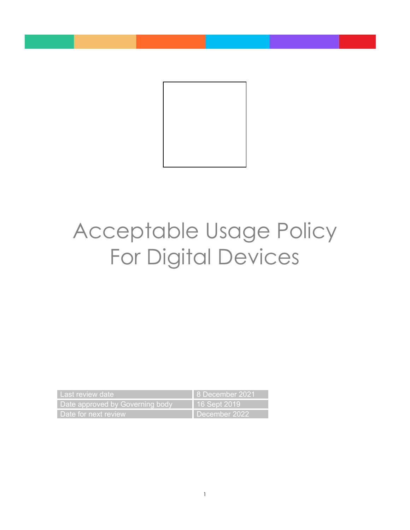

# Acceptable Usage Policy For Digital Devices

| Last review date                | 8 December 2021 |
|---------------------------------|-----------------|
| Date approved by Governing body | 16 Sept 2019'   |
| Date for next review            | December 2022   |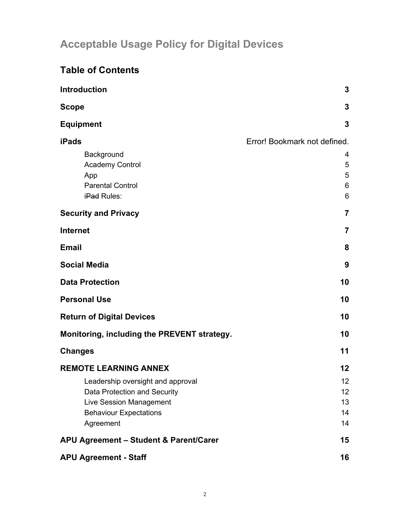# **Acceptable Usage Policy for Digital Devices**

## **Table of Contents**

| Introduction                                                                                                                                                               | $\overline{3}$                                        |
|----------------------------------------------------------------------------------------------------------------------------------------------------------------------------|-------------------------------------------------------|
| <b>Scope</b>                                                                                                                                                               | $\overline{3}$                                        |
| <b>Equipment</b>                                                                                                                                                           | 3                                                     |
| <b>iPads</b><br>Background<br><b>Academy Control</b><br>App<br><b>Parental Control</b><br>iPad Rules:                                                                      | Error! Bookmark not defined.<br>4<br>5<br>5<br>6<br>6 |
| <b>Security and Privacy</b>                                                                                                                                                | $\overline{7}$                                        |
| <b>Internet</b>                                                                                                                                                            | $\overline{7}$                                        |
| <b>Email</b>                                                                                                                                                               | 8                                                     |
| <b>Social Media</b>                                                                                                                                                        | 9                                                     |
| <b>Data Protection</b>                                                                                                                                                     | 10                                                    |
| <b>Personal Use</b>                                                                                                                                                        | 10                                                    |
| <b>Return of Digital Devices</b>                                                                                                                                           | 10                                                    |
| Monitoring, including the PREVENT strategy.                                                                                                                                | 10                                                    |
| <b>Changes</b>                                                                                                                                                             | 11                                                    |
| <b>REMOTE LEARNING ANNEX</b><br>Leadership oversight and approval<br>Data Protection and Security<br>Live Session Management<br><b>Behaviour Expectations</b><br>Agreement | $12 \,$<br>12<br>12 <sup>°</sup><br>13<br>14<br>14    |
| APU Agreement - Student & Parent/Carer                                                                                                                                     | 15                                                    |
| <b>APU Agreement - Staff</b>                                                                                                                                               | 16                                                    |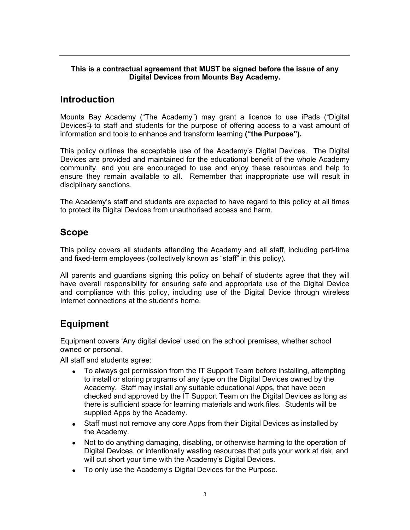#### **This is a contractual agreement that MUST be signed before the issue of any Digital Devices from Mounts Bay Academy.**

## **Introduction**

Mounts Bay Academy ("The Academy") may grant a licence to use iPads ("Digital Devices") to staff and students for the purpose of offering access to a vast amount of information and tools to enhance and transform learning **("the Purpose").**

This policy outlines the acceptable use of the Academy's Digital Devices. The Digital Devices are provided and maintained for the educational benefit of the whole Academy community, and you are encouraged to use and enjoy these resources and help to ensure they remain available to all. Remember that inappropriate use will result in disciplinary sanctions.

The Academy's staff and students are expected to have regard to this policy at all times to protect its Digital Devices from unauthorised access and harm.

## **Scope**

This policy covers all students attending the Academy and all staff, including part-time and fixed-term employees (collectively known as "staff" in this policy).

All parents and guardians signing this policy on behalf of students agree that they will have overall responsibility for ensuring safe and appropriate use of the Digital Device and compliance with this policy, including use of the Digital Device through wireless Internet connections at the student's home.

## **Equipment**

Equipment covers 'Any digital device' used on the school premises, whether school owned or personal.

All staff and students agree:

- To always get permission from the IT Support Team before installing, attempting to install or storing programs of any type on the Digital Devices owned by the Academy. Staff may install any suitable educational Apps, that have been checked and approved by the IT Support Team on the Digital Devices as long as there is sufficient space for learning materials and work files. Students will be supplied Apps by the Academy.
- Staff must not remove any core Apps from their Digital Devices as installed by the Academy.
- Not to do anything damaging, disabling, or otherwise harming to the operation of Digital Devices, or intentionally wasting resources that puts your work at risk, and will cut short your time with the Academy's Digital Devices.
- To only use the Academy's Digital Devices for the Purpose.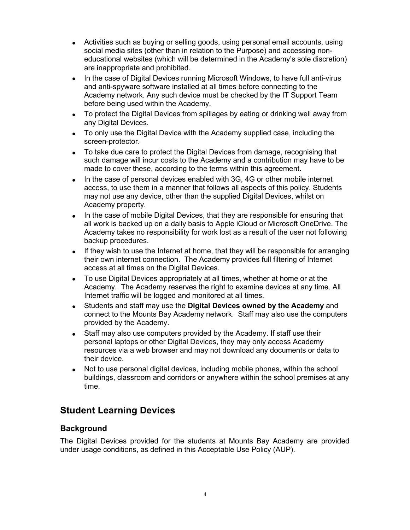- Activities such as buying or selling goods, using personal email accounts, using social media sites (other than in relation to the Purpose) and accessing noneducational websites (which will be determined in the Academy's sole discretion) are inappropriate and prohibited.
- In the case of Digital Devices running Microsoft Windows, to have full anti-virus and anti-spyware software installed at all times before connecting to the Academy network. Any such device must be checked by the IT Support Team before being used within the Academy.
- To protect the Digital Devices from spillages by eating or drinking well away from any Digital Devices.
- To only use the Digital Device with the Academy supplied case, including the screen-protector.
- To take due care to protect the Digital Devices from damage, recognising that such damage will incur costs to the Academy and a contribution may have to be made to cover these, according to the terms within this agreement.
- In the case of personal devices enabled with 3G, 4G or other mobile internet access, to use them in a manner that follows all aspects of this policy. Students may not use any device, other than the supplied Digital Devices, whilst on Academy property.
- In the case of mobile Digital Devices, that they are responsible for ensuring that all work is backed up on a daily basis to Apple iCloud or Microsoft OneDrive. The Academy takes no responsibility for work lost as a result of the user not following backup procedures.
- If they wish to use the Internet at home, that they will be responsible for arranging their own internet connection. The Academy provides full filtering of Internet access at all times on the Digital Devices.
- To use Digital Devices appropriately at all times, whether at home or at the Academy. The Academy reserves the right to examine devices at any time. All Internet traffic will be logged and monitored at all times.
- Students and staff may use the **Digital Devices owned by the Academy** and connect to the Mounts Bay Academy network. Staff may also use the computers provided by the Academy.
- Staff may also use computers provided by the Academy. If staff use their personal laptops or other Digital Devices, they may only access Academy resources via a web browser and may not download any documents or data to their device.
- Not to use personal digital devices, including mobile phones, within the school buildings, classroom and corridors or anywhere within the school premises at any time.

## **Student Learning Devices**

#### **Background**

The Digital Devices provided for the students at Mounts Bay Academy are provided under usage conditions, as defined in this Acceptable Use Policy (AUP).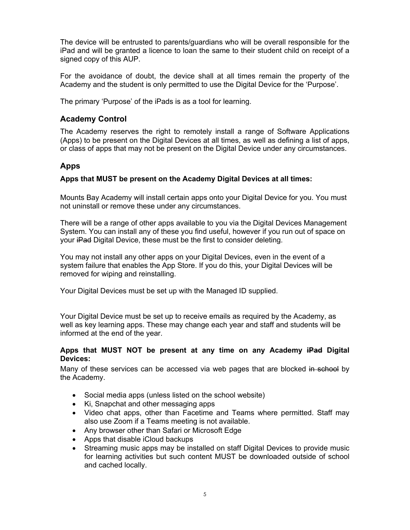The device will be entrusted to parents/guardians who will be overall responsible for the iPad and will be granted a licence to loan the same to their student child on receipt of a signed copy of this AUP.

For the avoidance of doubt, the device shall at all times remain the property of the Academy and the student is only permitted to use the Digital Device for the 'Purpose'.

The primary 'Purpose' of the iPads is as a tool for learning.

#### **Academy Control**

The Academy reserves the right to remotely install a range of Software Applications (Apps) to be present on the Digital Devices at all times, as well as defining a list of apps, or class of apps that may not be present on the Digital Device under any circumstances.

#### **Apps**

#### **Apps that MUST be present on the Academy Digital Devices at all times:**

Mounts Bay Academy will install certain apps onto your Digital Device for you. You must not uninstall or remove these under any circumstances.

There will be a range of other apps available to you via the Digital Devices Management System. You can install any of these you find useful, however if you run out of space on your iPad Digital Device, these must be the first to consider deleting.

You may not install any other apps on your Digital Devices, even in the event of a system failure that enables the App Store. If you do this, your Digital Devices will be removed for wiping and reinstalling.

Your Digital Devices must be set up with the Managed ID supplied.

Your Digital Device must be set up to receive emails as required by the Academy, as well as key learning apps. These may change each year and staff and students will be informed at the end of the year.

#### **Apps that MUST NOT be present at any time on any Academy iPad Digital Devices:**

Many of these services can be accessed via web pages that are blocked in school by the Academy.

- Social media apps (unless listed on the school website)
- Ki, Snapchat and other messaging apps
- Video chat apps, other than Facetime and Teams where permitted. Staff may also use Zoom if a Teams meeting is not available.
- Any browser other than Safari or Microsoft Edge
- Apps that disable iCloud backups
- Streaming music apps may be installed on staff Digital Devices to provide music for learning activities but such content MUST be downloaded outside of school and cached locally.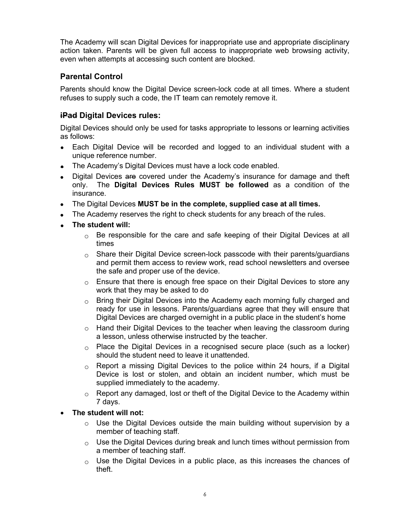The Academy will scan Digital Devices for inappropriate use and appropriate disciplinary action taken. Parents will be given full access to inappropriate web browsing activity, even when attempts at accessing such content are blocked.

#### **Parental Control**

Parents should know the Digital Device screen-lock code at all times. Where a student refuses to supply such a code, the IT team can remotely remove it.

#### **iPad Digital Devices rules:**

Digital Devices should only be used for tasks appropriate to lessons or learning activities as follows:

- Each Digital Device will be recorded and logged to an individual student with a unique reference number.
- The Academy's Digital Devices must have a lock code enabled.
- Digital Devices are covered under the Academy's insurance for damage and theft only. The **Digital Devices Rules MUST be followed** as a condition of the insurance.
- The Digital Devices **MUST be in the complete, supplied case at all times.**
- The Academy reserves the right to check students for any breach of the rules.
- **The student will:**
	- $\circ$  Be responsible for the care and safe keeping of their Digital Devices at all times
	- $\circ$  Share their Digital Device screen-lock passcode with their parents/quardians and permit them access to review work, read school newsletters and oversee the safe and proper use of the device.
	- $\circ$  Ensure that there is enough free space on their Digital Devices to store any work that they may be asked to do
	- $\circ$  Bring their Digital Devices into the Academy each morning fully charged and ready for use in lessons. Parents/guardians agree that they will ensure that Digital Devices are charged overnight in a public place in the student's home
	- o Hand their Digital Devices to the teacher when leaving the classroom during a lesson, unless otherwise instructed by the teacher.
	- $\circ$  Place the Digital Devices in a recognised secure place (such as a locker) should the student need to leave it unattended.
	- $\circ$  Report a missing Digital Devices to the police within 24 hours, if a Digital Device is lost or stolen, and obtain an incident number, which must be supplied immediately to the academy.
	- $\circ$  Report any damaged, lost or theft of the Digital Device to the Academy within 7 days.
- **The student will not:**
	- o Use the Digital Devices outside the main building without supervision by a member of teaching staff.
	- $\circ$  Use the Digital Devices during break and lunch times without permission from a member of teaching staff.
	- $\circ$  Use the Digital Devices in a public place, as this increases the chances of theft.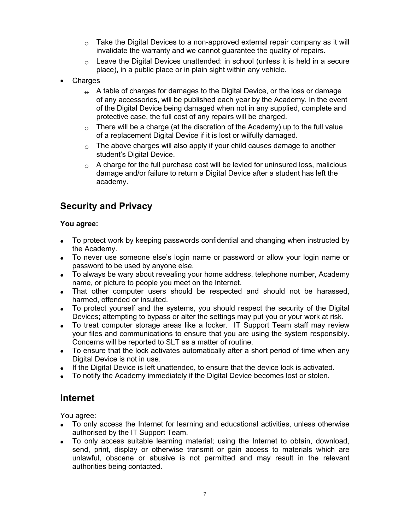- $\circ$  Take the Digital Devices to a non-approved external repair company as it will invalidate the warranty and we cannot guarantee the quality of repairs.
- $\circ$  Leave the Digital Devices unattended: in school (unless it is held in a secure place), in a public place or in plain sight within any vehicle.
- **Charges** 
	- $\Theta$  A table of charges for damages to the Digital Device, or the loss or damage of any accessories, will be published each year by the Academy. In the event of the Digital Device being damaged when not in any supplied, complete and protective case, the full cost of any repairs will be charged.
	- $\circ$  There will be a charge (at the discretion of the Academy) up to the full value of a replacement Digital Device if it is lost or wilfully damaged.
	- $\circ$  The above charges will also apply if your child causes damage to another student's Digital Device.
	- $\circ$  A charge for the full purchase cost will be levied for uninsured loss, malicious damage and/or failure to return a Digital Device after a student has left the academy.

## **Security and Privacy**

#### **You agree:**

- To protect work by keeping passwords confidential and changing when instructed by the Academy.
- To never use someone else's login name or password or allow your login name or password to be used by anyone else.
- To always be wary about revealing your home address, telephone number, Academy name, or picture to people you meet on the Internet.
- That other computer users should be respected and should not be harassed, harmed, offended or insulted.
- To protect yourself and the systems, you should respect the security of the Digital Devices; attempting to bypass or alter the settings may put you or your work at risk.
- To treat computer storage areas like a locker. IT Support Team staff may review your files and communications to ensure that you are using the system responsibly. Concerns will be reported to SLT as a matter of routine.
- To ensure that the lock activates automatically after a short period of time when any Digital Device is not in use.
- If the Digital Device is left unattended, to ensure that the device lock is activated.
- To notify the Academy immediately if the Digital Device becomes lost or stolen.

## **Internet**

You agree:

- To only access the Internet for learning and educational activities, unless otherwise authorised by the IT Support Team.
- To only access suitable learning material; using the Internet to obtain, download, send, print, display or otherwise transmit or gain access to materials which are unlawful, obscene or abusive is not permitted and may result in the relevant authorities being contacted.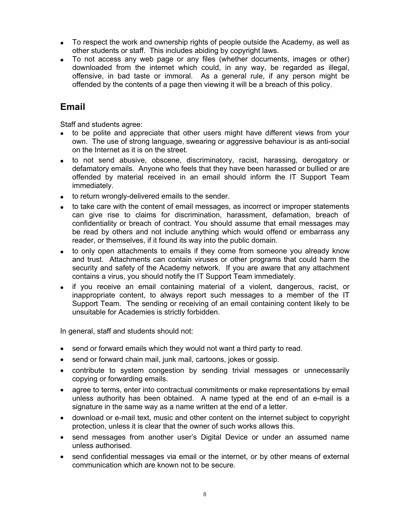- To respect the work and ownership rights of people outside the Academy, as well as other students or staff. This includes abiding by copyright laws.
- To not access any web page or any files (whether documents, images or other) downloaded from the internet which could, in any way, be regarded as illegal, offensive, in bad taste or immoral. As a general rule, if any person might be offended by the contents of a page then viewing it will be a breach of this policy.

## **Email**

Staff and students agree:

- to be polite and appreciate that other users might have different views from your own. The use of strong language, swearing or aggressive behaviour is as anti-social on the Internet as it is on the street.
- to not send abusive, obscene, discriminatory, racist, harassing, derogatory or defamatory emails. Anyone who feels that they have been harassed or bullied or are offended by material received in an email should inform the IT Support Team immediately.
- to return wrongly-delivered emails to the sender.
- to take care with the content of email messages, as incorrect or improper statements can give rise to claims for discrimination, harassment, defamation, breach of confidentiality or breach of contract. You should assume that email messages may be read by others and not include anything which would offend or embarrass any reader, or themselves, if it found its way into the public domain.
- to only open attachments to emails if they come from someone you already know and trust. Attachments can contain viruses or other programs that could harm the security and safety of the Academy network. If you are aware that any attachment contains a virus, you should notify the IT Support Team immediately.
- if you receive an email containing material of a violent, dangerous, racist, or inappropriate content, to always report such messages to a member of the IT Support Team. The sending or receiving of an email containing content likely to be unsuitable for Academies is strictly forbidden.

In general, staff and students should not:

- send or forward emails which they would not want a third party to read.
- send or forward chain mail, junk mail, cartoons, jokes or gossip.
- contribute to system congestion by sending trivial messages or unnecessarily copying or forwarding emails.
- agree to terms, enter into contractual commitments or make representations by email unless authority has been obtained. A name typed at the end of an e-mail is a signature in the same way as a name written at the end of a letter.
- download or e-mail text, music and other content on the internet subject to copyright protection, unless it is clear that the owner of such works allows this.
- send messages from another user's Digital Device or under an assumed name unless authorised.
- send confidential messages via email or the internet, or by other means of external communication which are known not to be secure.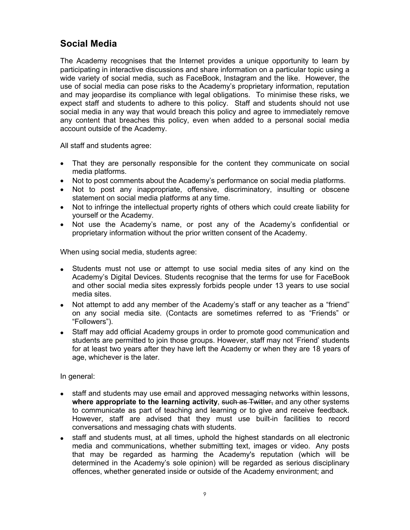## **Social Media**

The Academy recognises that the Internet provides a unique opportunity to learn by participating in interactive discussions and share information on a particular topic using a wide variety of social media, such as FaceBook, Instagram and the like. However, the use of social media can pose risks to the Academy's proprietary information, reputation and may jeopardise its compliance with legal obligations. To minimise these risks, we expect staff and students to adhere to this policy. Staff and students should not use social media in any way that would breach this policy and agree to immediately remove any content that breaches this policy, even when added to a personal social media account outside of the Academy.

All staff and students agree:

- That they are personally responsible for the content they communicate on social media platforms.
- Not to post comments about the Academy's performance on social media platforms.
- Not to post any inappropriate, offensive, discriminatory, insulting or obscene statement on social media platforms at any time.
- Not to infringe the intellectual property rights of others which could create liability for yourself or the Academy.
- Not use the Academy's name, or post any of the Academy's confidential or proprietary information without the prior written consent of the Academy.

When using social media, students agree:

- Students must not use or attempt to use social media sites of any kind on the Academy's Digital Devices. Students recognise that the terms for use for FaceBook and other social media sites expressly forbids people under 13 years to use social media sites.
- Not attempt to add any member of the Academy's staff or any teacher as a "friend" on any social media site. (Contacts are sometimes referred to as "Friends" or "Followers").
- Staff may add official Academy groups in order to promote good communication and students are permitted to join those groups. However, staff may not 'Friend' students for at least two years after they have left the Academy or when they are 18 years of age, whichever is the later.

In general:

- staff and students may use email and approved messaging networks within lessons, **where appropriate to the learning activity, such as Twitter, and any other systems** to communicate as part of teaching and learning or to give and receive feedback. However, staff are advised that they must use built-in facilities to record conversations and messaging chats with students.
- staff and students must, at all times, uphold the highest standards on all electronic media and communications, whether submitting text, images or video. Any posts that may be regarded as harming the Academy's reputation (which will be determined in the Academy's sole opinion) will be regarded as serious disciplinary offences, whether generated inside or outside of the Academy environment; and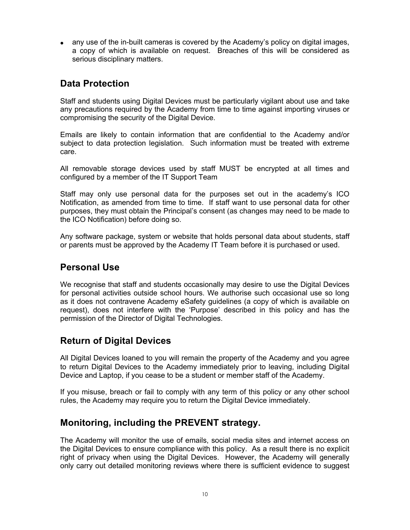• any use of the in-built cameras is covered by the Academy's policy on digital images, a copy of which is available on request. Breaches of this will be considered as serious disciplinary matters.

## **Data Protection**

Staff and students using Digital Devices must be particularly vigilant about use and take any precautions required by the Academy from time to time against importing viruses or compromising the security of the Digital Device.

Emails are likely to contain information that are confidential to the Academy and/or subject to data protection legislation. Such information must be treated with extreme care.

All removable storage devices used by staff MUST be encrypted at all times and configured by a member of the IT Support Team

Staff may only use personal data for the purposes set out in the academy's ICO Notification, as amended from time to time. If staff want to use personal data for other purposes, they must obtain the Principal's consent (as changes may need to be made to the ICO Notification) before doing so.

Any software package, system or website that holds personal data about students, staff or parents must be approved by the Academy IT Team before it is purchased or used.

## **Personal Use**

We recognise that staff and students occasionally may desire to use the Digital Devices for personal activities outside school hours. We authorise such occasional use so long as it does not contravene Academy eSafety guidelines (a copy of which is available on request), does not interfere with the 'Purpose' described in this policy and has the permission of the Director of Digital Technologies.

## **Return of Digital Devices**

All Digital Devices loaned to you will remain the property of the Academy and you agree to return Digital Devices to the Academy immediately prior to leaving, including Digital Device and Laptop, if you cease to be a student or member staff of the Academy.

If you misuse, breach or fail to comply with any term of this policy or any other school rules, the Academy may require you to return the Digital Device immediately.

## **Monitoring, including the PREVENT strategy.**

The Academy will monitor the use of emails, social media sites and internet access on the Digital Devices to ensure compliance with this policy. As a result there is no explicit right of privacy when using the Digital Devices. However, the Academy will generally only carry out detailed monitoring reviews where there is sufficient evidence to suggest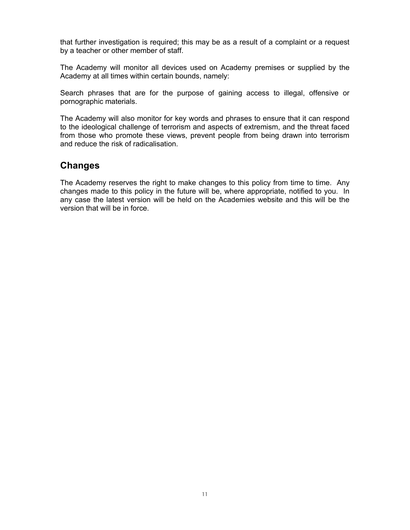that further investigation is required; this may be as a result of a complaint or a request by a teacher or other member of staff.

The Academy will monitor all devices used on Academy premises or supplied by the Academy at all times within certain bounds, namely:

Search phrases that are for the purpose of gaining access to illegal, offensive or pornographic materials.

The Academy will also monitor for key words and phrases to ensure that it can respond to the ideological challenge of terrorism and aspects of extremism, and the threat faced from those who promote these views, prevent people from being drawn into terrorism and reduce the risk of radicalisation.

## **Changes**

The Academy reserves the right to make changes to this policy from time to time. Any changes made to this policy in the future will be, where appropriate, notified to you. In any case the latest version will be held on the Academies website and this will be the version that will be in force.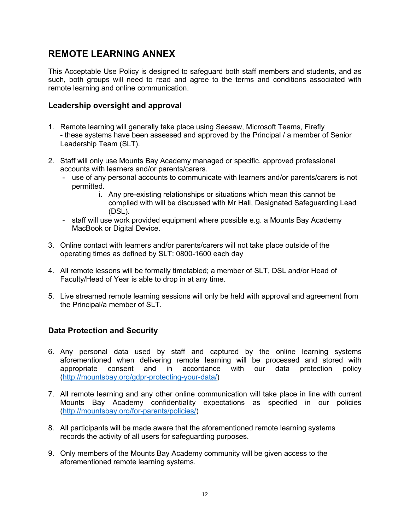## **REMOTE LEARNING ANNEX**

This Acceptable Use Policy is designed to safeguard both staff members and students, and as such, both groups will need to read and agree to the terms and conditions associated with remote learning and online communication.

#### **Leadership oversight and approval**

- 1. Remote learning will generally take place using Seesaw, Microsoft Teams, Firefly - these systems have been assessed and approved by the Principal / a member of Senior Leadership Team (SLT).
- 2. Staff will only use Mounts Bay Academy managed or specific, approved professional accounts with learners and/or parents/carers.
	- use of any personal accounts to communicate with learners and/or parents/carers is not permitted.
		- i. Any pre-existing relationships or situations which mean this cannot be complied with will be discussed with Mr Hall, Designated Safeguarding Lead (DSL).
	- staff will use work provided equipment where possible e.g. a Mounts Bay Academy MacBook or Digital Device.
- 3. Online contact with learners and/or parents/carers will not take place outside of the operating times as defined by SLT: 0800-1600 each day
- 4. All remote lessons will be formally timetabled; a member of SLT, DSL and/or Head of Faculty/Head of Year is able to drop in at any time.
- 5. Live streamed remote learning sessions will only be held with approval and agreement from the Principal/a member of SLT.

## **Data Protection and Security**

- 6. Any personal data used by staff and captured by the online learning systems aforementioned when delivering remote learning will be processed and stored with appropriate consent and in accordance with our data protection policy (http://mountsbay.org/gdpr-protecting-your-data/)
- 7. All remote learning and any other online communication will take place in line with current Mounts Bay Academy confidentiality expectations as specified in our policies (http://mountsbay.org/for-parents/policies/)
- 8. All participants will be made aware that the aforementioned remote learning systems records the activity of all users for safeguarding purposes.
- 9. Only members of the Mounts Bay Academy community will be given access to the aforementioned remote learning systems.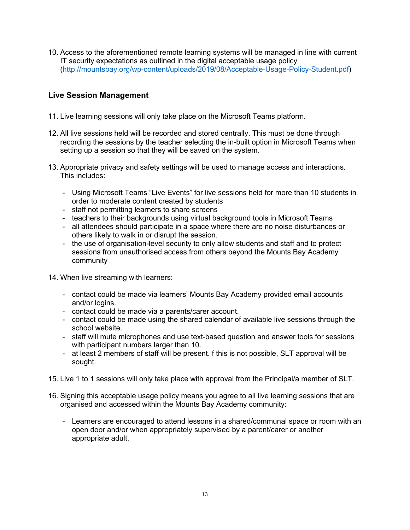10. Access to the aforementioned remote learning systems will be managed in line with current IT security expectations as outlined in the digital acceptable usage policy (http://mountsbay.org/wp-content/uploads/2019/08/Acceptable-Usage-Policy-Student.pdf)

#### **Live Session Management**

- 11. Live learning sessions will only take place on the Microsoft Teams platform.
- 12. All live sessions held will be recorded and stored centrally. This must be done through recording the sessions by the teacher selecting the in-built option in Microsoft Teams when setting up a session so that they will be saved on the system.
- 13. Appropriate privacy and safety settings will be used to manage access and interactions. This includes:
	- Using Microsoft Teams "Live Events" for live sessions held for more than 10 students in order to moderate content created by students
	- staff not permitting learners to share screens
	- teachers to their backgrounds using virtual background tools in Microsoft Teams
	- all attendees should participate in a space where there are no noise disturbances or others likely to walk in or disrupt the session.
	- the use of organisation-level security to only allow students and staff and to protect sessions from unauthorised access from others beyond the Mounts Bay Academy community
- 14. When live streaming with learners:
	- contact could be made via learners' Mounts Bay Academy provided email accounts and/or logins.
	- contact could be made via a parents/carer account.
	- contact could be made using the shared calendar of available live sessions through the school website.
	- staff will mute microphones and use text-based question and answer tools for sessions with participant numbers larger than 10.
	- at least 2 members of staff will be present. f this is not possible, SLT approval will be sought.
- 15. Live 1 to 1 sessions will only take place with approval from the Principal/a member of SLT.
- 16. Signing this acceptable usage policy means you agree to all live learning sessions that are organised and accessed within the Mounts Bay Academy community:
	- Learners are encouraged to attend lessons in a shared/communal space or room with an open door and/or when appropriately supervised by a parent/carer or another appropriate adult.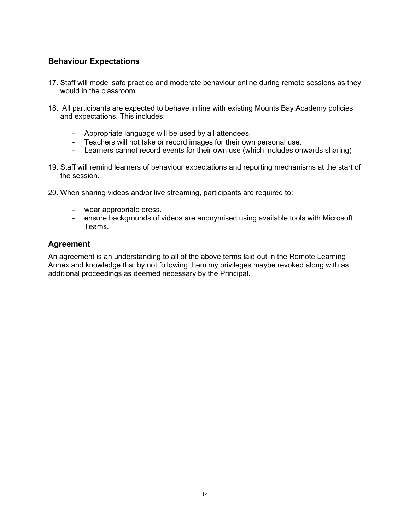#### **Behaviour Expectations**

- 17. Staff will model safe practice and moderate behaviour online during remote sessions as they would in the classroom.
- 18. All participants are expected to behave in line with existing Mounts Bay Academy policies and expectations. This includes:
	- Appropriate language will be used by all attendees.
	- Teachers will not take or record images for their own personal use.
	- Learners cannot record events for their own use (which includes onwards sharing)
- 19. Staff will remind learners of behaviour expectations and reporting mechanisms at the start of the session.
- 20. When sharing videos and/or live streaming, participants are required to:
	- wear appropriate dress.
	- ensure backgrounds of videos are anonymised using available tools with Microsoft Teams.

#### **Agreement**

An agreement is an understanding to all of the above terms laid out in the Remote Learning Annex and knowledge that by not following them my privileges maybe revoked along with as additional proceedings as deemed necessary by the Principal.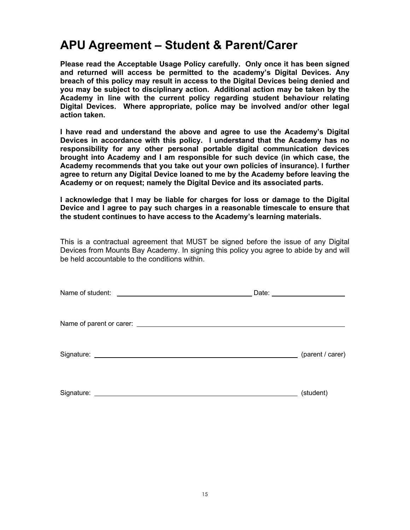# **APU Agreement – Student & Parent/Carer**

**Please read the Acceptable Usage Policy carefully. Only once it has been signed and returned will access be permitted to the academy's Digital Devices. Any breach of this policy may result in access to the Digital Devices being denied and you may be subject to disciplinary action. Additional action may be taken by the Academy in line with the current policy regarding student behaviour relating Digital Devices. Where appropriate, police may be involved and/or other legal action taken.**

**I have read and understand the above and agree to use the Academy's Digital Devices in accordance with this policy. I understand that the Academy has no responsibility for any other personal portable digital communication devices brought into Academy and I am responsible for such device (in which case, the Academy recommends that you take out your own policies of insurance). I further agree to return any Digital Device loaned to me by the Academy before leaving the Academy or on request; namely the Digital Device and its associated parts.**

**I acknowledge that I may be liable for charges for loss or damage to the Digital Device and I agree to pay such charges in a reasonable timescale to ensure that the student continues to have access to the Academy's learning materials.**

This is a contractual agreement that MUST be signed before the issue of any Digital Devices from Mounts Bay Academy. In signing this policy you agree to abide by and will be held accountable to the conditions within.

| Name of student:<br><u> 1989 - Jan Stern Stern Stern Stern Stern Stern Stern Stern Stern Stern Stern Stern Stern Stern Stern Stern Stern Stern Stern Stern Stern Stern Stern Stern Stern Stern Stern Stern Stern Stern Stern Stern Stern Stern Stern</u> | Date: ________________________ |
|----------------------------------------------------------------------------------------------------------------------------------------------------------------------------------------------------------------------------------------------------------|--------------------------------|
|                                                                                                                                                                                                                                                          |                                |
|                                                                                                                                                                                                                                                          | (parent / carer)               |
| Signature:                                                                                                                                                                                                                                               | (student)                      |